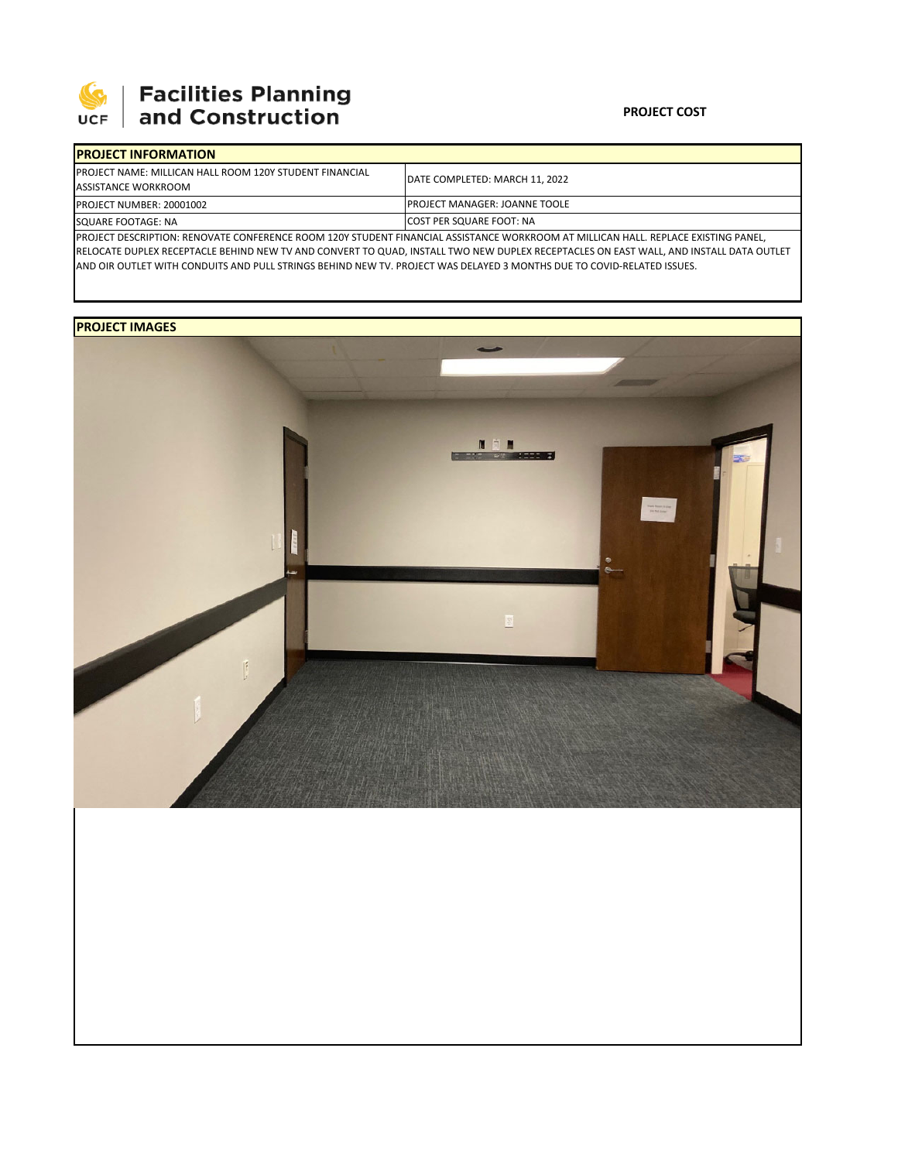

## **SEPTE AND Facilities Planning**<br>UCF and Construction

| <b>IPROJECT INFORMATION</b>                                                                                                        |                                       |  |  |  |
|------------------------------------------------------------------------------------------------------------------------------------|---------------------------------------|--|--|--|
| <b>IPROJECT NAME: MILLICAN HALL ROOM 120Y STUDENT FINANCIAL</b><br>ASSISTANCE WORKROOM                                             | DATE COMPLETED: MARCH 11, 2022        |  |  |  |
| <b>PROJECT NUMBER: 20001002</b>                                                                                                    | <b>IPROJECT MANAGER: JOANNE TOOLE</b> |  |  |  |
| SQUARE FOOTAGE: NA                                                                                                                 | <b>COST PER SQUARE FOOT: NA</b>       |  |  |  |
| IBBOIECT BECCRIPTION: RENOVATE CONFERENCE ROOM 120V CTUBENT FINANCIAL ACCICTANCE WORKROOM AT MULLCAN HALL, REDI ACE EVICTING RANEL |                                       |  |  |  |

SCRIPTION: RENOVATE CONFERENCE ROOM 120Y STUDENT FINANCIAL ASSISTANCE WORKROOM AT MILLICAN HALL. REPLACE EXISTING PANEL, RELOCATE DUPLEX RECEPTACLE BEHIND NEW TV AND CONVERT TO QUAD, INSTALL TWO NEW DUPLEX RECEPTACLES ON EAST WALL, AND INSTALL DATA OUTLET AND OIR OUTLET WITH CONDUITS AND PULL STRINGS BEHIND NEW TV. PROJECT WAS DELAYED 3 MONTHS DUE TO COVID‐RELATED ISSUES.

## **PROJECT IMAGES**